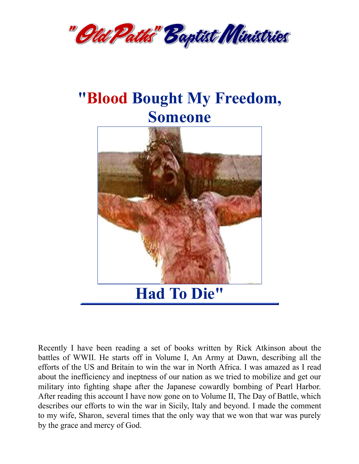

## **"Blood Bought My Freedom, Someone**



Recently I have been reading a set of books written by Rick Atkinson about the battles of WWII. He starts off in Volume I, An Army at Dawn, describing all the efforts of the US and Britain to win the war in North Africa. I was amazed as I read about the inefficiency and ineptness of our nation as we tried to mobilize and get our military into fighting shape after the Japanese cowardly bombing of Pearl Harbor. After reading this account I have now gone on to Volume II, The Day of Battle, which describes our efforts to win the war in Sicily, Italy and beyond. I made the comment to my wife, Sharon, several times that the only way that we won that war was purely by the grace and mercy of God.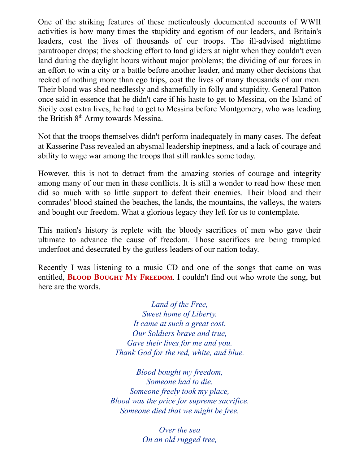One of the striking features of these meticulously documented accounts of WWII activities is how many times the stupidity and egotism of our leaders, and Britain's leaders, cost the lives of thousands of our troops. The ill-advised nighttime paratrooper drops; the shocking effort to land gliders at night when they couldn't even land during the daylight hours without major problems; the dividing of our forces in an effort to win a city or a battle before another leader, and many other decisions that reeked of nothing more than ego trips, cost the lives of many thousands of our men. Their blood was shed needlessly and shamefully in folly and stupidity. General Patton once said in essence that he didn't care if his haste to get to Messina, on the Island of Sicily cost extra lives, he had to get to Messina before Montgomery, who was leading the British 8<sup>th</sup> Army towards Messina.

Not that the troops themselves didn't perform inadequately in many cases. The defeat at Kasserine Pass revealed an abysmal leadership ineptness, and a lack of courage and ability to wage war among the troops that still rankles some today.

However, this is not to detract from the amazing stories of courage and integrity among many of our men in these conflicts. It is still a wonder to read how these men did so much with so little support to defeat their enemies. Their blood and their comrades' blood stained the beaches, the lands, the mountains, the valleys, the waters and bought our freedom. What a glorious legacy they left for us to contemplate.

This nation's history is replete with the bloody sacrifices of men who gave their ultimate to advance the cause of freedom. Those sacrifices are being trampled underfoot and desecrated by the gutless leaders of our nation today.

Recently I was listening to a music CD and one of the songs that came on was entitled, **BLOOD BOUGHT MY FREEDOM.** I couldn't find out who wrote the song, but here are the words.

> *Land of the Free, Sweet home of Liberty. It came at such a great cost. Our Soldiers brave and true, Gave their lives for me and you. Thank God for the red, white, and blue.*

*Blood bought my freedom, Someone had to die. Someone freely took my place, Blood was the price for supreme sacrifice. Someone died that we might be free.*

> *Over the sea On an old rugged tree,*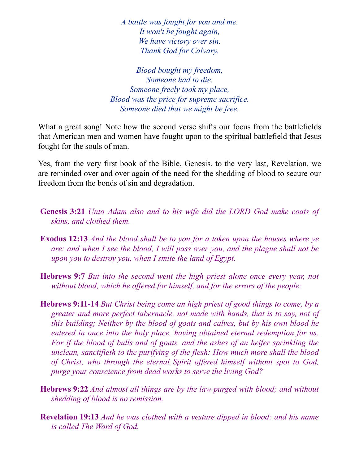*A battle was fought for you and me. It won't be fought again, We have victory over sin. Thank God for Calvary.*

*Blood bought my freedom, Someone had to die. Someone freely took my place, Blood was the price for supreme sacrifice. Someone died that we might be free.*

What a great song! Note how the second verse shifts our focus from the battlefields that American men and women have fought upon to the spiritual battlefield that Jesus fought for the souls of man.

Yes, from the very first book of the Bible, Genesis, to the very last, Revelation, we are reminded over and over again of the need for the shedding of blood to secure our freedom from the bonds of sin and degradation.

- **Genesis 3:21** *Unto Adam also and to his wife did the LORD God make coats of skins, and clothed them.*
- **Exodus 12:13** *And the blood shall be to you for a token upon the houses where ye are: and when I see the blood, I will pass over you, and the plague shall not be upon you to destroy you, when I smite the land of Egypt.*
- **Hebrews 9:7** *But into the second went the high priest alone once every year, not without blood, which he of ered for himself, and for the errors of the people:*
- **Hebrews 9:11-14** *But Christ being come an high priest of good things to come, by a greater and more perfect tabernacle, not made with hands, that is to say, not of this building; Neither by the blood of goats and calves, but by his own blood he entered in once into the holy place, having obtained eternal redemption for us. For if the blood of bulls and of goats, and the ashes of an heifer sprinkling the unclean, sanctifieth to the purifying of the flesh: How much more shall the blood of Christ, who through the eternal Spirit of ered himself without spot to God, purge your conscience from dead works to serve the living God?*
- **Hebrews 9:22** *And almost all things are by the law purged with blood; and without shedding of blood is no remission.*
- **Revelation 19:13** *And he was clothed with a vesture dipped in blood: and his name is called The Word of God.*